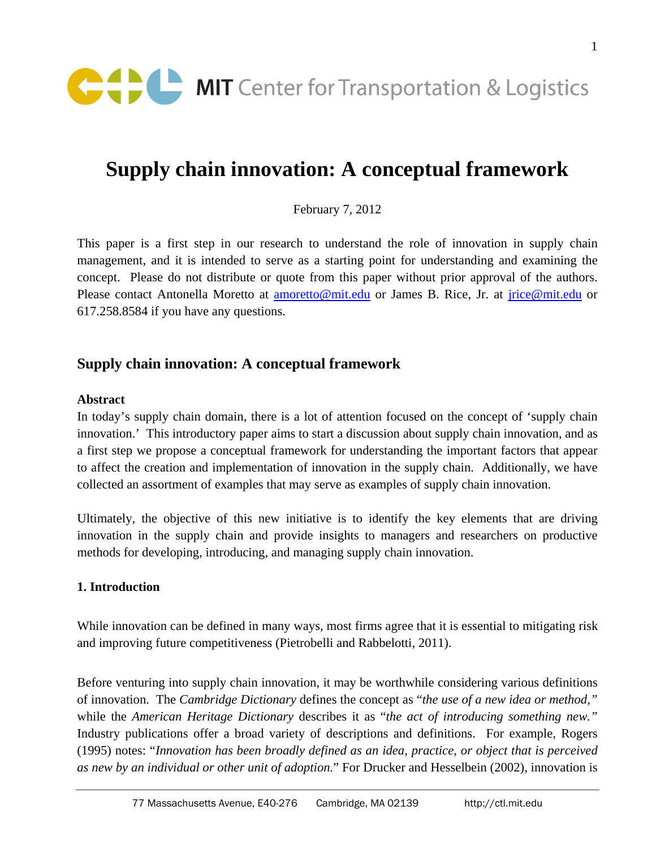

# **Supply chain innovation: A conceptual framework**

February 7, 2012

This paper is a first step in our research to understand the role of innovation in supply chain management, and it is intended to serve as a starting point for understanding and examining the concept. Please do not distribute or quote from this paper without prior approval of the authors. Please contact Antonella Moretto at **amoretto@mit.edu** or James B. Rice, Jr. at *jrice@mit.edu* or 617.258.8584 if you have any questions.

# **Supply chain innovation: A conceptual framework**

#### **Abstract**

In today's supply chain domain, there is a lot of attention focused on the concept of 'supply chain innovation.' This introductory paper aims to start a discussion about supply chain innovation, and as a first step we propose a conceptual framework for understanding the important factors that appear to affect the creation and implementation of innovation in the supply chain. Additionally, we have collected an assortment of examples that may serve as examples of supply chain innovation.

Ultimately, the objective of this new initiative is to identify the key elements that are driving innovation in the supply chain and provide insights to managers and researchers on productive methods for developing, introducing, and managing supply chain innovation.

#### **1. Introduction**

While innovation can be defined in many ways, most firms agree that it is essential to mitigating risk and improving future competitiveness (Pietrobelli and Rabbelotti, 2011).

Before venturing into supply chain innovation, it may be worthwhile considering various definitions of innovation. The *Cambridge Dictionary* defines the concept as "*the use of a new idea or method,"* while the *American Heritage Dictionary* describes it as "*the act of introducing something new."* Industry publications offer a broad variety of descriptions and definitions. For example, Rogers (1995) notes: "*Innovation has been broadly defined as an idea, practice, or object that is perceived as new by an individual or other unit of adoption.*" For Drucker and Hesselbein (2002), innovation is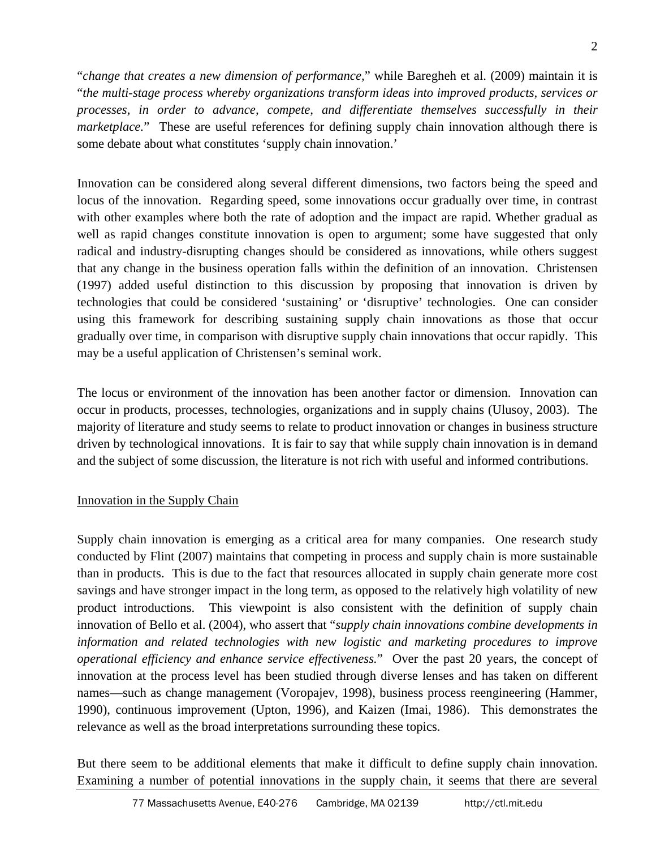"*change that creates a new dimension of performance,*" while Baregheh et al. (2009) maintain it is "*the multi-stage process whereby organizations transform ideas into improved products, services or processes, in order to advance, compete, and differentiate themselves successfully in their marketplace.*" These are useful references for defining supply chain innovation although there is some debate about what constitutes 'supply chain innovation.'

Innovation can be considered along several different dimensions, two factors being the speed and locus of the innovation. Regarding speed, some innovations occur gradually over time, in contrast with other examples where both the rate of adoption and the impact are rapid. Whether gradual as well as rapid changes constitute innovation is open to argument; some have suggested that only radical and industry-disrupting changes should be considered as innovations, while others suggest that any change in the business operation falls within the definition of an innovation. Christensen (1997) added useful distinction to this discussion by proposing that innovation is driven by technologies that could be considered 'sustaining' or 'disruptive' technologies. One can consider using this framework for describing sustaining supply chain innovations as those that occur gradually over time, in comparison with disruptive supply chain innovations that occur rapidly. This may be a useful application of Christensen's seminal work.

The locus or environment of the innovation has been another factor or dimension. Innovation can occur in products, processes, technologies, organizations and in supply chains (Ulusoy, 2003). The majority of literature and study seems to relate to product innovation or changes in business structure driven by technological innovations. It is fair to say that while supply chain innovation is in demand and the subject of some discussion, the literature is not rich with useful and informed contributions.

# Innovation in the Supply Chain

Supply chain innovation is emerging as a critical area for many companies. One research study conducted by Flint (2007) maintains that competing in process and supply chain is more sustainable than in products. This is due to the fact that resources allocated in supply chain generate more cost savings and have stronger impact in the long term, as opposed to the relatively high volatility of new product introductions. This viewpoint is also consistent with the definition of supply chain innovation of Bello et al. (2004), who assert that "*supply chain innovations combine developments in information and related technologies with new logistic and marketing procedures to improve operational efficiency and enhance service effectiveness.*" Over the past 20 years, the concept of innovation at the process level has been studied through diverse lenses and has taken on different names—such as change management (Voropajev, 1998), business process reengineering (Hammer, 1990), continuous improvement (Upton, 1996), and Kaizen (Imai, 1986). This demonstrates the relevance as well as the broad interpretations surrounding these topics.

But there seem to be additional elements that make it difficult to define supply chain innovation. Examining a number of potential innovations in the supply chain, it seems that there are several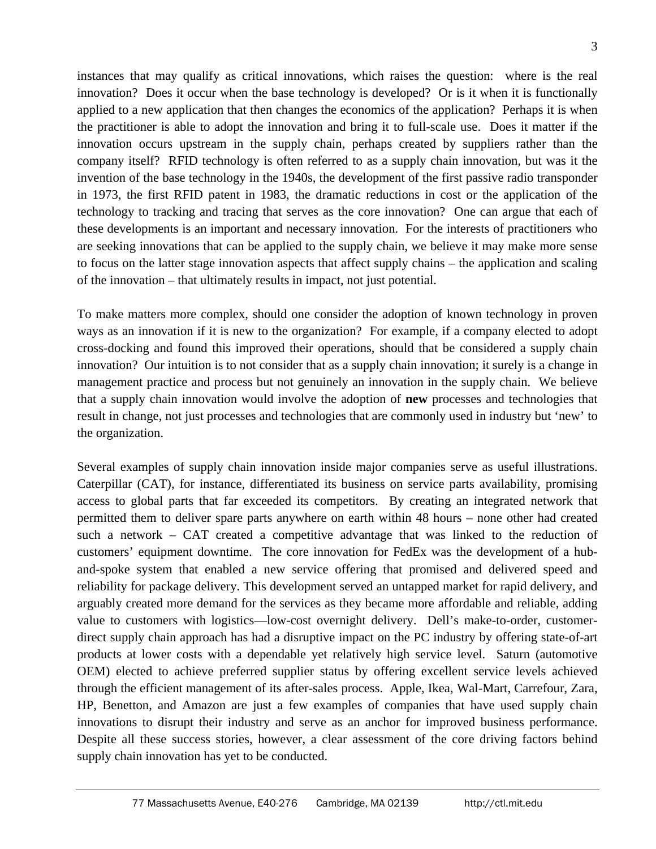instances that may qualify as critical innovations, which raises the question: where is the real innovation? Does it occur when the base technology is developed? Or is it when it is functionally applied to a new application that then changes the economics of the application? Perhaps it is when the practitioner is able to adopt the innovation and bring it to full-scale use. Does it matter if the innovation occurs upstream in the supply chain, perhaps created by suppliers rather than the company itself? RFID technology is often referred to as a supply chain innovation, but was it the invention of the base technology in the 1940s, the development of the first passive radio transponder in 1973, the first RFID patent in 1983, the dramatic reductions in cost or the application of the technology to tracking and tracing that serves as the core innovation? One can argue that each of these developments is an important and necessary innovation. For the interests of practitioners who are seeking innovations that can be applied to the supply chain, we believe it may make more sense to focus on the latter stage innovation aspects that affect supply chains – the application and scaling of the innovation – that ultimately results in impact, not just potential.

To make matters more complex, should one consider the adoption of known technology in proven ways as an innovation if it is new to the organization? For example, if a company elected to adopt cross-docking and found this improved their operations, should that be considered a supply chain innovation? Our intuition is to not consider that as a supply chain innovation; it surely is a change in management practice and process but not genuinely an innovation in the supply chain. We believe that a supply chain innovation would involve the adoption of **new** processes and technologies that result in change, not just processes and technologies that are commonly used in industry but 'new' to the organization.

Several examples of supply chain innovation inside major companies serve as useful illustrations. Caterpillar (CAT), for instance, differentiated its business on service parts availability, promising access to global parts that far exceeded its competitors. By creating an integrated network that permitted them to deliver spare parts anywhere on earth within 48 hours – none other had created such a network – CAT created a competitive advantage that was linked to the reduction of customers' equipment downtime. The core innovation for FedEx was the development of a huband-spoke system that enabled a new service offering that promised and delivered speed and reliability for package delivery. This development served an untapped market for rapid delivery, and arguably created more demand for the services as they became more affordable and reliable, adding value to customers with logistics—low-cost overnight delivery. Dell's make-to-order, customerdirect supply chain approach has had a disruptive impact on the PC industry by offering state-of-art products at lower costs with a dependable yet relatively high service level. Saturn (automotive OEM) elected to achieve preferred supplier status by offering excellent service levels achieved through the efficient management of its after-sales process. Apple, Ikea, Wal-Mart, Carrefour, Zara, HP, Benetton, and Amazon are just a few examples of companies that have used supply chain innovations to disrupt their industry and serve as an anchor for improved business performance. Despite all these success stories, however, a clear assessment of the core driving factors behind supply chain innovation has yet to be conducted.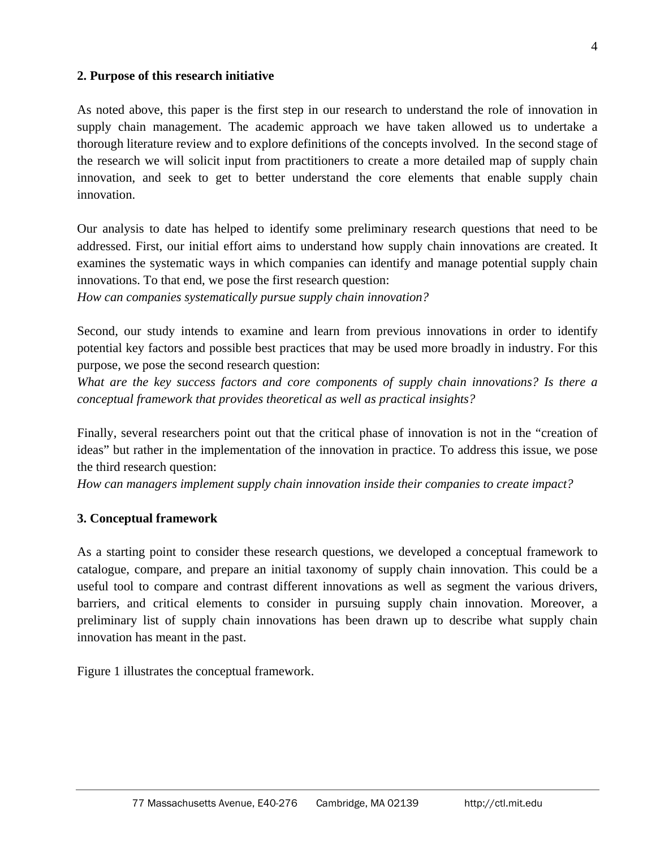### **2. Purpose of this research initiative**

As noted above, this paper is the first step in our research to understand the role of innovation in supply chain management. The academic approach we have taken allowed us to undertake a thorough literature review and to explore definitions of the concepts involved. In the second stage of the research we will solicit input from practitioners to create a more detailed map of supply chain innovation, and seek to get to better understand the core elements that enable supply chain innovation.

Our analysis to date has helped to identify some preliminary research questions that need to be addressed. First, our initial effort aims to understand how supply chain innovations are created. It examines the systematic ways in which companies can identify and manage potential supply chain innovations. To that end, we pose the first research question:

*How can companies systematically pursue supply chain innovation?* 

Second, our study intends to examine and learn from previous innovations in order to identify potential key factors and possible best practices that may be used more broadly in industry. For this purpose, we pose the second research question:

*What are the key success factors and core components of supply chain innovations? Is there a conceptual framework that provides theoretical as well as practical insights?* 

Finally, several researchers point out that the critical phase of innovation is not in the "creation of ideas" but rather in the implementation of the innovation in practice. To address this issue, we pose the third research question:

*How can managers implement supply chain innovation inside their companies to create impact?* 

### **3. Conceptual framework**

As a starting point to consider these research questions, we developed a conceptual framework to catalogue, compare, and prepare an initial taxonomy of supply chain innovation. This could be a useful tool to compare and contrast different innovations as well as segment the various drivers, barriers, and critical elements to consider in pursuing supply chain innovation. Moreover, a preliminary list of supply chain innovations has been drawn up to describe what supply chain innovation has meant in the past.

Figure 1 illustrates the conceptual framework.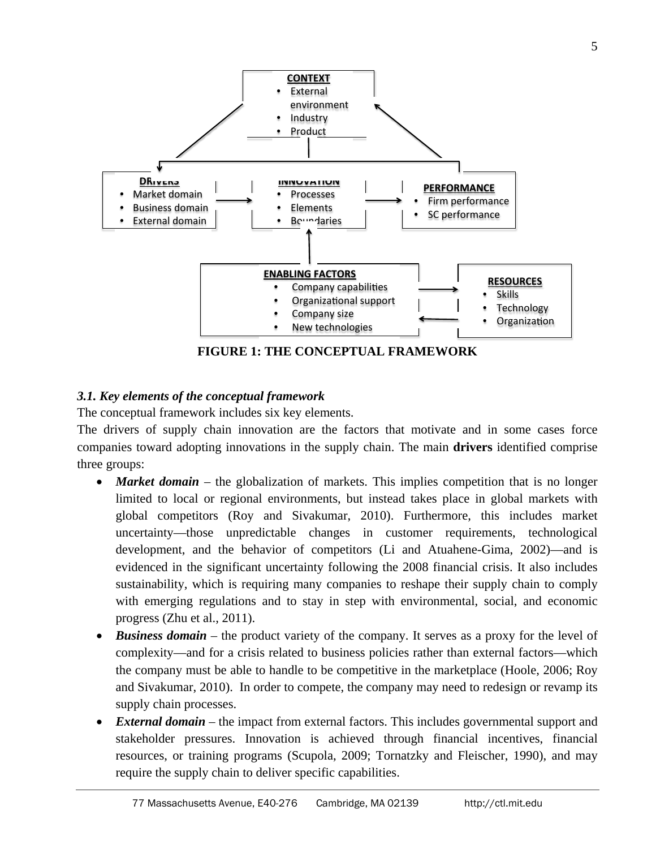

**FIGURE 1: THE CONCEPTUAL FRAMEWORK** 

# *3.1. Key elements of the conceptual framework*

The conceptual framework includes six key elements.

The drivers of supply chain innovation are the factors that motivate and in some cases force companies toward adopting innovations in the supply chain. The main **drivers** identified comprise three groups:

- **Market domain** the globalization of markets. This implies competition that is no longer limited to local or regional environments, but instead takes place in global markets with global competitors (Roy and Sivakumar, 2010). Furthermore, this includes market uncertainty—those unpredictable changes in customer requirements, technological development, and the behavior of competitors (Li and Atuahene-Gima, 2002)—and is evidenced in the significant uncertainty following the 2008 financial crisis. It also includes sustainability, which is requiring many companies to reshape their supply chain to comply with emerging regulations and to stay in step with environmental, social, and economic progress (Zhu et al., 2011).
- **Business domain** the product variety of the company. It serves as a proxy for the level of complexity—and for a crisis related to business policies rather than external factors—which the company must be able to handle to be competitive in the marketplace (Hoole, 2006; Roy and Sivakumar, 2010). In order to compete, the company may need to redesign or revamp its supply chain processes.
- *External domain* the impact from external factors. This includes governmental support and stakeholder pressures. Innovation is achieved through financial incentives, financial resources, or training programs (Scupola, 2009; Tornatzky and Fleischer, 1990), and may require the supply chain to deliver specific capabilities.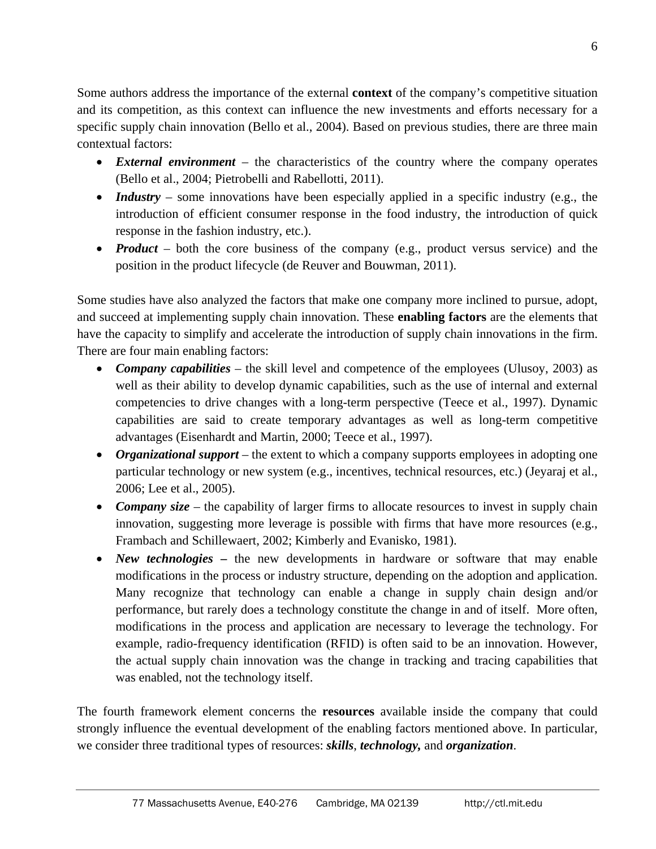Some authors address the importance of the external **context** of the company's competitive situation and its competition, as this context can influence the new investments and efforts necessary for a specific supply chain innovation (Bello et al., 2004). Based on previous studies, there are three main contextual factors:

- *External environment* the characteristics of the country where the company operates (Bello et al., 2004; Pietrobelli and Rabellotti, 2011).
- *Industry* some innovations have been especially applied in a specific industry (e.g., the introduction of efficient consumer response in the food industry, the introduction of quick response in the fashion industry, etc.).
- **Product** both the core business of the company (e.g., product versus service) and the position in the product lifecycle (de Reuver and Bouwman, 2011).

Some studies have also analyzed the factors that make one company more inclined to pursue, adopt, and succeed at implementing supply chain innovation. These **enabling factors** are the elements that have the capacity to simplify and accelerate the introduction of supply chain innovations in the firm. There are four main enabling factors:

- **Company capabilities** the skill level and competence of the employees (Ulusoy, 2003) as well as their ability to develop dynamic capabilities, such as the use of internal and external competencies to drive changes with a long-term perspective (Teece et al., 1997). Dynamic capabilities are said to create temporary advantages as well as long-term competitive advantages (Eisenhardt and Martin, 2000; Teece et al., 1997).
- *Organizational support* the extent to which a company supports employees in adopting one particular technology or new system (e.g., incentives, technical resources, etc.) (Jeyaraj et al., 2006; Lee et al., 2005).
- *Company size* the capability of larger firms to allocate resources to invest in supply chain innovation, suggesting more leverage is possible with firms that have more resources (e.g., Frambach and Schillewaert, 2002; Kimberly and Evanisko, 1981).
- *New technologies* the new developments in hardware or software that may enable modifications in the process or industry structure, depending on the adoption and application. Many recognize that technology can enable a change in supply chain design and/or performance, but rarely does a technology constitute the change in and of itself. More often, modifications in the process and application are necessary to leverage the technology. For example, radio-frequency identification (RFID) is often said to be an innovation. However, the actual supply chain innovation was the change in tracking and tracing capabilities that was enabled, not the technology itself.

The fourth framework element concerns the **resources** available inside the company that could strongly influence the eventual development of the enabling factors mentioned above. In particular, we consider three traditional types of resources: *skills*, *technology,* and *organization*.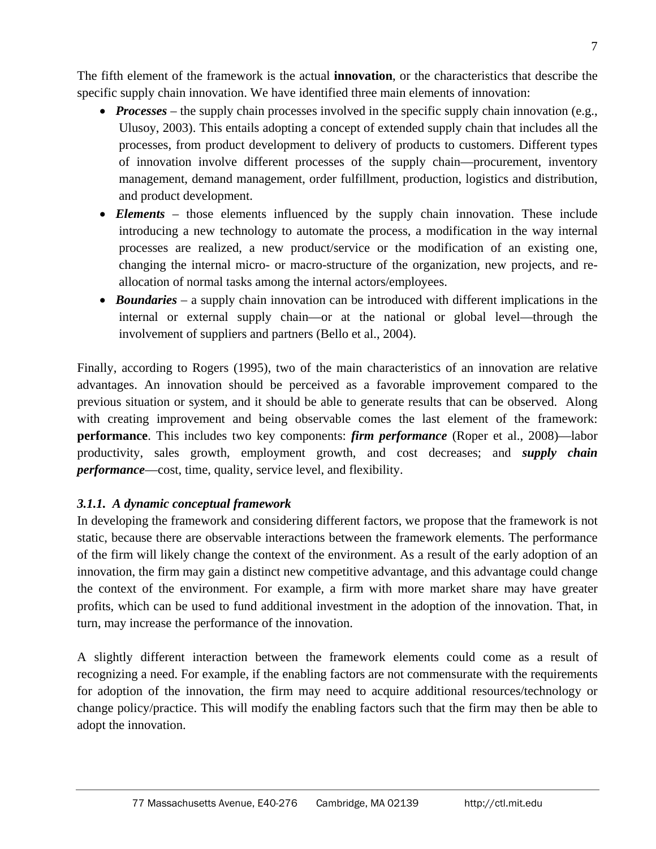The fifth element of the framework is the actual **innovation**, or the characteristics that describe the specific supply chain innovation. We have identified three main elements of innovation:

- *Processes* the supply chain processes involved in the specific supply chain innovation (e.g., Ulusoy, 2003). This entails adopting a concept of extended supply chain that includes all the processes, from product development to delivery of products to customers. Different types of innovation involve different processes of the supply chain—procurement, inventory management, demand management, order fulfillment, production, logistics and distribution, and product development.
- *Elements* those elements influenced by the supply chain innovation. These include introducing a new technology to automate the process, a modification in the way internal processes are realized, a new product/service or the modification of an existing one, changing the internal micro- or macro-structure of the organization, new projects, and reallocation of normal tasks among the internal actors/employees.
- *Boundaries* a supply chain innovation can be introduced with different implications in the internal or external supply chain—or at the national or global level—through the involvement of suppliers and partners (Bello et al., 2004).

Finally, according to Rogers (1995), two of the main characteristics of an innovation are relative advantages. An innovation should be perceived as a favorable improvement compared to the previous situation or system, and it should be able to generate results that can be observed. Along with creating improvement and being observable comes the last element of the framework: **performance**. This includes two key components: *firm performance* (Roper et al., 2008)—labor productivity, sales growth, employment growth, and cost decreases; and *supply chain performance*—cost, time, quality, service level, and flexibility.

# *3.1.1. A dynamic conceptual framework*

In developing the framework and considering different factors, we propose that the framework is not static, because there are observable interactions between the framework elements. The performance of the firm will likely change the context of the environment. As a result of the early adoption of an innovation, the firm may gain a distinct new competitive advantage, and this advantage could change the context of the environment. For example, a firm with more market share may have greater profits, which can be used to fund additional investment in the adoption of the innovation. That, in turn, may increase the performance of the innovation.

A slightly different interaction between the framework elements could come as a result of recognizing a need. For example, if the enabling factors are not commensurate with the requirements for adoption of the innovation, the firm may need to acquire additional resources/technology or change policy/practice. This will modify the enabling factors such that the firm may then be able to adopt the innovation.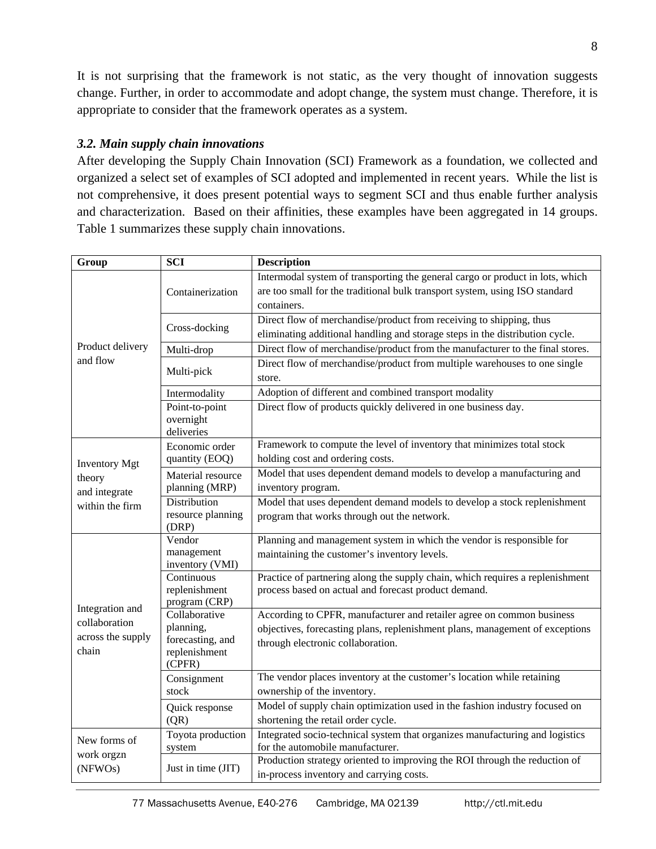It is not surprising that the framework is not static, as the very thought of innovation suggests change. Further, in order to accommodate and adopt change, the system must change. Therefore, it is appropriate to consider that the framework operates as a system.

## *3.2. Main supply chain innovations*

After developing the Supply Chain Innovation (SCI) Framework as a foundation, we collected and organized a select set of examples of SCI adopted and implemented in recent years. While the list is not comprehensive, it does present potential ways to segment SCI and thus enable further analysis and characterization. Based on their affinities, these examples have been aggregated in 14 groups. Table 1 summarizes these supply chain innovations.

| Group                                                              | <b>SCI</b>                                                                | <b>Description</b>                                                                                                                                                                         |
|--------------------------------------------------------------------|---------------------------------------------------------------------------|--------------------------------------------------------------------------------------------------------------------------------------------------------------------------------------------|
| Product delivery<br>and flow                                       | Containerization                                                          | Intermodal system of transporting the general cargo or product in lots, which<br>are too small for the traditional bulk transport system, using ISO standard<br>containers.                |
|                                                                    | Cross-docking                                                             | Direct flow of merchandise/product from receiving to shipping, thus<br>eliminating additional handling and storage steps in the distribution cycle.                                        |
|                                                                    | Multi-drop                                                                | Direct flow of merchandise/product from the manufacturer to the final stores.                                                                                                              |
|                                                                    | Multi-pick                                                                | Direct flow of merchandise/product from multiple warehouses to one single<br>store.                                                                                                        |
|                                                                    | Intermodality                                                             | Adoption of different and combined transport modality                                                                                                                                      |
|                                                                    | Point-to-point<br>overnight<br>deliveries                                 | Direct flow of products quickly delivered in one business day.                                                                                                                             |
| <b>Inventory Mgt</b><br>theory<br>and integrate<br>within the firm | Economic order<br>quantity (EOQ)                                          | Framework to compute the level of inventory that minimizes total stock<br>holding cost and ordering costs.                                                                                 |
|                                                                    | Material resource<br>planning (MRP)                                       | Model that uses dependent demand models to develop a manufacturing and<br>inventory program.                                                                                               |
|                                                                    | Distribution<br>resource planning<br>(DRP)                                | Model that uses dependent demand models to develop a stock replenishment<br>program that works through out the network.                                                                    |
| Integration and<br>collaboration<br>across the supply<br>chain     | Vendor<br>management<br>inventory (VMI)                                   | Planning and management system in which the vendor is responsible for<br>maintaining the customer's inventory levels.                                                                      |
|                                                                    | Continuous<br>replenishment<br>program (CRP)                              | Practice of partnering along the supply chain, which requires a replenishment<br>process based on actual and forecast product demand.                                                      |
|                                                                    | Collaborative<br>planning,<br>forecasting, and<br>replenishment<br>(CPFR) | According to CPFR, manufacturer and retailer agree on common business<br>objectives, forecasting plans, replenishment plans, management of exceptions<br>through electronic collaboration. |
|                                                                    | Consignment<br>stock                                                      | The vendor places inventory at the customer's location while retaining<br>ownership of the inventory.                                                                                      |
|                                                                    | Quick response<br>(QR)                                                    | Model of supply chain optimization used in the fashion industry focused on<br>shortening the retail order cycle.                                                                           |
| New forms of<br>work orgzn<br>(NFWOs)                              | Toyota production<br>system                                               | Integrated socio-technical system that organizes manufacturing and logistics<br>for the automobile manufacturer.                                                                           |
|                                                                    | Just in time (JIT)                                                        | Production strategy oriented to improving the ROI through the reduction of<br>in-process inventory and carrying costs.                                                                     |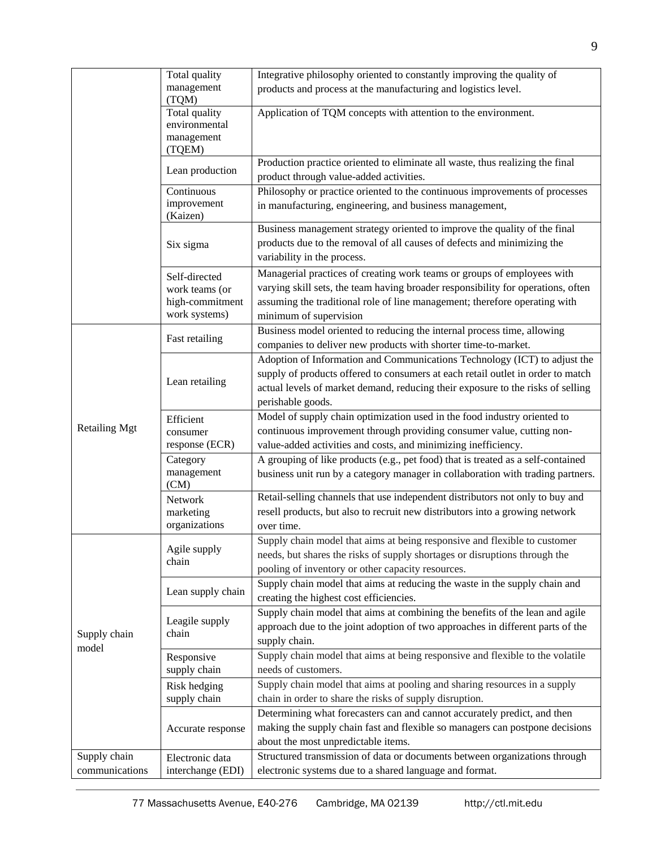|                      | Total quality                        | Integrative philosophy oriented to constantly improving the quality of                                                                                   |
|----------------------|--------------------------------------|----------------------------------------------------------------------------------------------------------------------------------------------------------|
|                      | management                           | products and process at the manufacturing and logistics level.                                                                                           |
|                      | (TQM)                                |                                                                                                                                                          |
|                      | Total quality<br>environmental       | Application of TQM concepts with attention to the environment.                                                                                           |
|                      | management                           |                                                                                                                                                          |
|                      | (TQEM)                               |                                                                                                                                                          |
|                      | Lean production                      | Production practice oriented to eliminate all waste, thus realizing the final<br>product through value-added activities.                                 |
|                      | Continuous                           | Philosophy or practice oriented to the continuous improvements of processes                                                                              |
|                      | improvement<br>(Kaizen)              | in manufacturing, engineering, and business management,                                                                                                  |
|                      | Six sigma                            | Business management strategy oriented to improve the quality of the final                                                                                |
|                      |                                      | products due to the removal of all causes of defects and minimizing the                                                                                  |
|                      |                                      | variability in the process.                                                                                                                              |
|                      | Self-directed                        | Managerial practices of creating work teams or groups of employees with                                                                                  |
|                      | work teams (or                       | varying skill sets, the team having broader responsibility for operations, often                                                                         |
|                      | high-commitment                      | assuming the traditional role of line management; therefore operating with                                                                               |
|                      | work systems)                        | minimum of supervision                                                                                                                                   |
|                      | Fast retailing                       | Business model oriented to reducing the internal process time, allowing                                                                                  |
|                      |                                      | companies to deliver new products with shorter time-to-market.                                                                                           |
|                      |                                      | Adoption of Information and Communications Technology (ICT) to adjust the                                                                                |
|                      | Lean retailing                       | supply of products offered to consumers at each retail outlet in order to match                                                                          |
|                      |                                      | actual levels of market demand, reducing their exposure to the risks of selling                                                                          |
|                      |                                      | perishable goods.                                                                                                                                        |
| <b>Retailing Mgt</b> | Efficient                            | Model of supply chain optimization used in the food industry oriented to                                                                                 |
|                      | consumer<br>response (ECR)           | continuous improvement through providing consumer value, cutting non-<br>value-added activities and costs, and minimizing inefficiency.                  |
|                      | Category                             | A grouping of like products (e.g., pet food) that is treated as a self-contained                                                                         |
|                      | management                           | business unit run by a category manager in collaboration with trading partners.                                                                          |
|                      | (CM)                                 |                                                                                                                                                          |
|                      | Network                              | Retail-selling channels that use independent distributors not only to buy and                                                                            |
|                      | marketing                            | resell products, but also to recruit new distributors into a growing network                                                                             |
|                      | organizations                        | over time.                                                                                                                                               |
|                      | Agile supply<br>chain                | Supply chain model that aims at being responsive and flexible to customer                                                                                |
|                      |                                      | needs, but shares the risks of supply shortages or disruptions through the                                                                               |
|                      |                                      | pooling of inventory or other capacity resources.                                                                                                        |
|                      | Lean supply chain                    | Supply chain model that aims at reducing the waste in the supply chain and                                                                               |
|                      |                                      | creating the highest cost efficiencies.                                                                                                                  |
|                      | Leagile supply<br>chain              | Supply chain model that aims at combining the benefits of the lean and agile                                                                             |
| Supply chain         |                                      | approach due to the joint adoption of two approaches in different parts of the                                                                           |
| model                |                                      | supply chain.                                                                                                                                            |
|                      | Responsive                           | Supply chain model that aims at being responsive and flexible to the volatile                                                                            |
|                      | supply chain                         | needs of customers.                                                                                                                                      |
|                      | Risk hedging                         | Supply chain model that aims at pooling and sharing resources in a supply<br>chain in order to share the risks of supply disruption.                     |
|                      | supply chain                         |                                                                                                                                                          |
|                      | Accurate response                    | Determining what forecasters can and cannot accurately predict, and then<br>making the supply chain fast and flexible so managers can postpone decisions |
|                      |                                      | about the most unpredictable items.                                                                                                                      |
| Supply chain         |                                      | Structured transmission of data or documents between organizations through                                                                               |
| communications       | Electronic data<br>interchange (EDI) | electronic systems due to a shared language and format.                                                                                                  |
|                      |                                      |                                                                                                                                                          |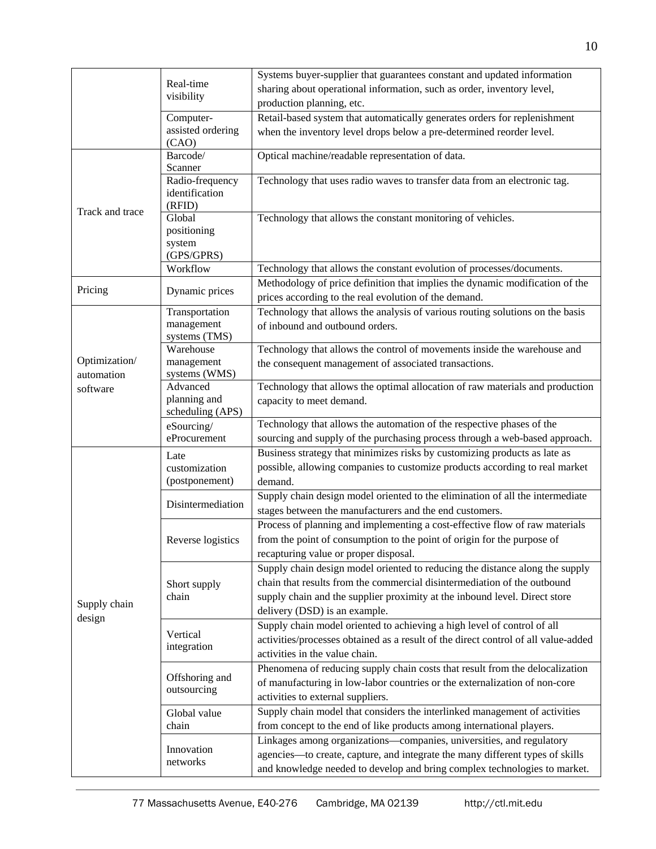|                        |                                                          | Systems buyer-supplier that guarantees constant and updated information                                     |
|------------------------|----------------------------------------------------------|-------------------------------------------------------------------------------------------------------------|
|                        | Real-time                                                | sharing about operational information, such as order, inventory level,                                      |
|                        | visibility                                               | production planning, etc.                                                                                   |
|                        | Computer-                                                | Retail-based system that automatically generates orders for replenishment                                   |
|                        | assisted ordering                                        | when the inventory level drops below a pre-determined reorder level.                                        |
|                        | (CAO)                                                    |                                                                                                             |
|                        | Barcode/                                                 | Optical machine/readable representation of data.                                                            |
|                        | Scanner<br>Radio-frequency                               | Technology that uses radio waves to transfer data from an electronic tag.                                   |
|                        | identification                                           |                                                                                                             |
|                        | (RFID)                                                   |                                                                                                             |
| Track and trace        | Global                                                   | Technology that allows the constant monitoring of vehicles.                                                 |
|                        | positioning                                              |                                                                                                             |
|                        | system                                                   |                                                                                                             |
|                        | (GPS/GPRS)                                               |                                                                                                             |
|                        | Workflow                                                 | Technology that allows the constant evolution of processes/documents.                                       |
| Pricing                | Dynamic prices                                           | Methodology of price definition that implies the dynamic modification of the                                |
|                        |                                                          | prices according to the real evolution of the demand.                                                       |
|                        | Transportation                                           | Technology that allows the analysis of various routing solutions on the basis                               |
|                        | management<br>systems (TMS)                              | of inbound and outbound orders.                                                                             |
|                        | Warehouse                                                | Technology that allows the control of movements inside the warehouse and                                    |
| Optimization/          | management                                               | the consequent management of associated transactions.                                                       |
| automation             | systems (WMS)                                            |                                                                                                             |
| software               | Advanced                                                 | Technology that allows the optimal allocation of raw materials and production                               |
|                        | planning and                                             | capacity to meet demand.                                                                                    |
|                        | scheduling (APS)                                         |                                                                                                             |
|                        | eSourcing/                                               | Technology that allows the automation of the respective phases of the                                       |
|                        | eProcurement                                             | sourcing and supply of the purchasing process through a web-based approach.                                 |
|                        | Late                                                     | Business strategy that minimizes risks by customizing products as late as                                   |
|                        | customization<br>(postponement)                          | possible, allowing companies to customize products according to real market<br>demand.                      |
|                        |                                                          | Supply chain design model oriented to the elimination of all the intermediate                               |
|                        | Disintermediation                                        | stages between the manufacturers and the end customers.                                                     |
|                        |                                                          | Process of planning and implementing a cost-effective flow of raw materials                                 |
|                        | Reverse logistics                                        | from the point of consumption to the point of origin for the purpose of                                     |
| Supply chain<br>design |                                                          | recapturing value or proper disposal.                                                                       |
|                        |                                                          | Supply chain design model oriented to reducing the distance along the supply                                |
|                        | Short supply<br>chain                                    | chain that results from the commercial disintermediation of the outbound                                    |
|                        |                                                          |                                                                                                             |
|                        |                                                          | supply chain and the supplier proximity at the inbound level. Direct store<br>delivery (DSD) is an example. |
|                        |                                                          | Supply chain model oriented to achieving a high level of control of all                                     |
|                        | Vertical<br>integration<br>Offshoring and<br>outsourcing | activities/processes obtained as a result of the direct control of all value-added                          |
|                        |                                                          | activities in the value chain.                                                                              |
|                        |                                                          | Phenomena of reducing supply chain costs that result from the delocalization                                |
|                        |                                                          | of manufacturing in low-labor countries or the externalization of non-core                                  |
|                        |                                                          | activities to external suppliers.                                                                           |
|                        |                                                          | Supply chain model that considers the interlinked management of activities                                  |
|                        | Global value<br>chain                                    | from concept to the end of like products among international players.                                       |
|                        |                                                          | Linkages among organizations-companies, universities, and regulatory                                        |
|                        | Innovation<br>networks                                   | agencies-to create, capture, and integrate the many different types of skills                               |
|                        |                                                          | and knowledge needed to develop and bring complex technologies to market.                                   |
|                        |                                                          |                                                                                                             |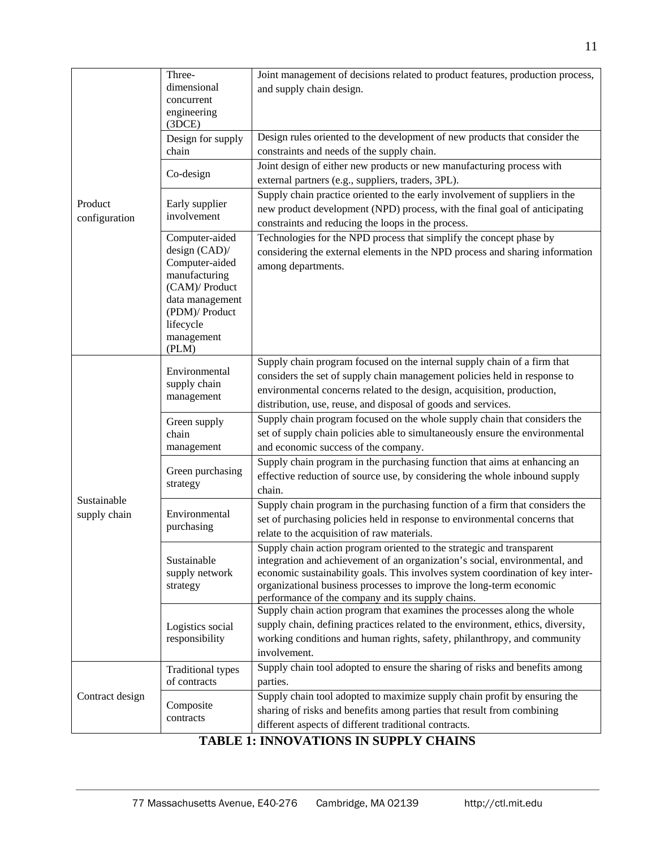|                 | Three-                                    | Joint management of decisions related to product features, production process,                                       |
|-----------------|-------------------------------------------|----------------------------------------------------------------------------------------------------------------------|
|                 | dimensional                               | and supply chain design.                                                                                             |
|                 | concurrent                                |                                                                                                                      |
|                 | engineering<br>(3DCE)                     |                                                                                                                      |
|                 | Design for supply                         | Design rules oriented to the development of new products that consider the                                           |
|                 | chain                                     | constraints and needs of the supply chain.                                                                           |
|                 |                                           | Joint design of either new products or new manufacturing process with                                                |
|                 | Co-design                                 | external partners (e.g., suppliers, traders, 3PL).                                                                   |
|                 | Early supplier<br>involvement             | Supply chain practice oriented to the early involvement of suppliers in the                                          |
| Product         |                                           | new product development (NPD) process, with the final goal of anticipating                                           |
| configuration   |                                           | constraints and reducing the loops in the process.                                                                   |
|                 | Computer-aided                            | Technologies for the NPD process that simplify the concept phase by                                                  |
|                 | design (CAD)/                             | considering the external elements in the NPD process and sharing information                                         |
|                 | Computer-aided                            | among departments.                                                                                                   |
|                 | manufacturing                             |                                                                                                                      |
|                 | (CAM)/ Product                            |                                                                                                                      |
|                 | data management<br>(PDM)/ Product         |                                                                                                                      |
|                 | lifecycle                                 |                                                                                                                      |
|                 | management                                |                                                                                                                      |
|                 | (PLM)                                     |                                                                                                                      |
|                 | Environmental                             | Supply chain program focused on the internal supply chain of a firm that                                             |
|                 | supply chain                              | considers the set of supply chain management policies held in response to                                            |
|                 | management                                | environmental concerns related to the design, acquisition, production,                                               |
|                 |                                           | distribution, use, reuse, and disposal of goods and services.                                                        |
|                 | Green supply                              | Supply chain program focused on the whole supply chain that considers the                                            |
|                 | chain                                     | set of supply chain policies able to simultaneously ensure the environmental                                         |
|                 | management                                | and economic success of the company.                                                                                 |
|                 | Green purchasing                          | Supply chain program in the purchasing function that aims at enhancing an                                            |
|                 | strategy                                  | effective reduction of source use, by considering the whole inbound supply                                           |
| Sustainable     |                                           | chain.                                                                                                               |
| supply chain    | Environmental<br>purchasing               | Supply chain program in the purchasing function of a firm that considers the                                         |
|                 |                                           | set of purchasing policies held in response to environmental concerns that                                           |
|                 |                                           | relate to the acquisition of raw materials.<br>Supply chain action program oriented to the strategic and transparent |
|                 | Sustainable<br>supply network<br>strategy | integration and achievement of an organization's social, environmental, and                                          |
|                 |                                           | economic sustainability goals. This involves system coordination of key inter-                                       |
|                 |                                           | organizational business processes to improve the long-term economic                                                  |
|                 |                                           | performance of the company and its supply chains.                                                                    |
|                 | Logistics social<br>responsibility        | Supply chain action program that examines the processes along the whole                                              |
|                 |                                           | supply chain, defining practices related to the environment, ethics, diversity,                                      |
|                 |                                           | working conditions and human rights, safety, philanthropy, and community                                             |
|                 |                                           | involvement.                                                                                                         |
| Contract design | <b>Traditional types</b>                  | Supply chain tool adopted to ensure the sharing of risks and benefits among                                          |
|                 | of contracts                              | parties.                                                                                                             |
|                 | Composite<br>contracts                    | Supply chain tool adopted to maximize supply chain profit by ensuring the                                            |
|                 |                                           | sharing of risks and benefits among parties that result from combining                                               |
|                 |                                           | different aspects of different traditional contracts.                                                                |

# **TABLE 1: INNOVATIONS IN SUPPLY CHAINS**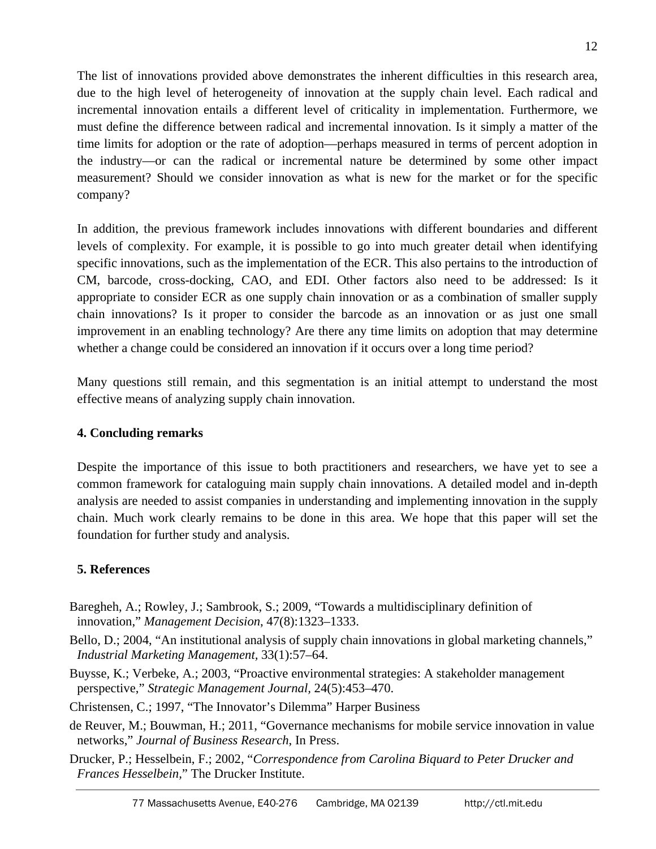The list of innovations provided above demonstrates the inherent difficulties in this research area, due to the high level of heterogeneity of innovation at the supply chain level. Each radical and incremental innovation entails a different level of criticality in implementation. Furthermore, we must define the difference between radical and incremental innovation. Is it simply a matter of the time limits for adoption or the rate of adoption—perhaps measured in terms of percent adoption in the industry—or can the radical or incremental nature be determined by some other impact measurement? Should we consider innovation as what is new for the market or for the specific company?

In addition, the previous framework includes innovations with different boundaries and different levels of complexity. For example, it is possible to go into much greater detail when identifying specific innovations, such as the implementation of the ECR. This also pertains to the introduction of CM, barcode, cross-docking, CAO, and EDI. Other factors also need to be addressed: Is it appropriate to consider ECR as one supply chain innovation or as a combination of smaller supply chain innovations? Is it proper to consider the barcode as an innovation or as just one small improvement in an enabling technology? Are there any time limits on adoption that may determine whether a change could be considered an innovation if it occurs over a long time period?

Many questions still remain, and this segmentation is an initial attempt to understand the most effective means of analyzing supply chain innovation.

# **4. Concluding remarks**

Despite the importance of this issue to both practitioners and researchers, we have yet to see a common framework for cataloguing main supply chain innovations. A detailed model and in-depth analysis are needed to assist companies in understanding and implementing innovation in the supply chain. Much work clearly remains to be done in this area. We hope that this paper will set the foundation for further study and analysis.

# **5. References**

- Baregheh, A.; Rowley, J.; Sambrook, S.; 2009, "Towards a multidisciplinary definition of innovation," *Management Decision*, 47(8):1323–1333.
- Bello, D.; 2004, "An institutional analysis of supply chain innovations in global marketing channels," *Industrial Marketing Management,* 33(1):57–64.
- Buysse, K.; Verbeke, A.; 2003, "Proactive environmental strategies: A stakeholder management perspective," *Strategic Management Journal,* 24(5):453–470.
- Christensen, C.; 1997, "The Innovator's Dilemma" Harper Business
- de Reuver, M.; Bouwman, H.; 2011, "Governance mechanisms for mobile service innovation in value networks," *Journal of Business Research*, In Press.
- Drucker, P.; Hesselbein, F.; 2002, "*Correspondence from Carolina Biquard to Peter Drucker and Frances Hesselbein,*" The Drucker Institute.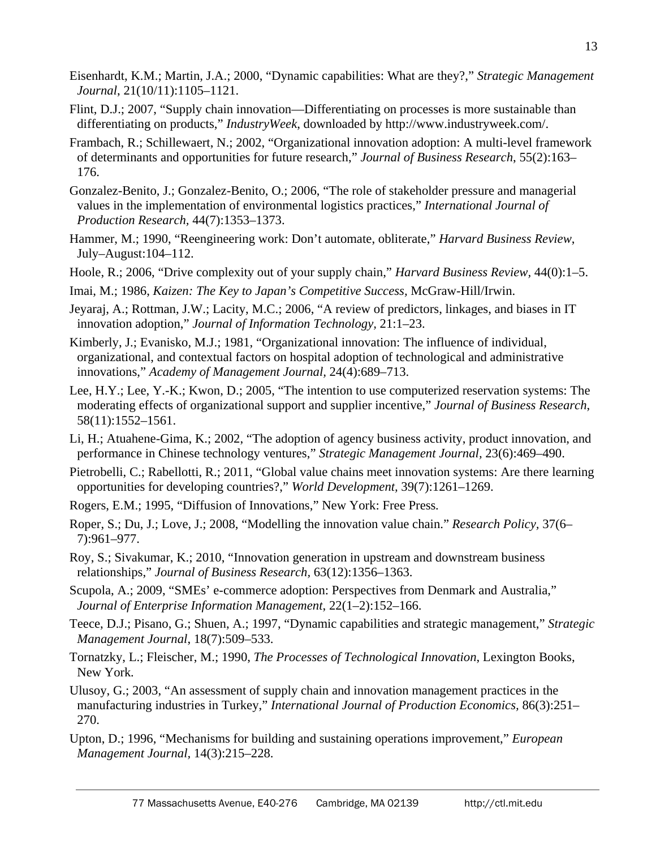- Eisenhardt, K.M.; Martin, J.A.; 2000, "Dynamic capabilities: What are they?," *Strategic Management Journal*, 21(10/11):1105–1121.
- Flint, D.J.; 2007, "Supply chain innovation—Differentiating on processes is more sustainable than differentiating on products," *IndustryWeek*, downloaded by http://www.industryweek.com/.
- Frambach, R.; Schillewaert, N.; 2002, "Organizational innovation adoption: A multi-level framework of determinants and opportunities for future research," *Journal of Business Research*, 55(2):163– 176.
- Gonzalez-Benito, J.; Gonzalez-Benito, O.; 2006, "The role of stakeholder pressure and managerial values in the implementation of environmental logistics practices," *International Journal of Production Research,* 44(7):1353–1373.
- Hammer, M.; 1990, "Reengineering work: Don't automate, obliterate," *Harvard Business Review*, July–August:104–112.
- Hoole, R.; 2006, "Drive complexity out of your supply chain," *Harvard Business Review,* 44(0):1–5.
- Imai, M.; 1986, *Kaizen: The Key to Japan's Competitive Success,* McGraw-Hill/Irwin.
- Jeyaraj, A.; Rottman, J.W.; Lacity, M.C.; 2006, "A review of predictors, linkages, and biases in IT innovation adoption," *Journal of Information Technology,* 21:1–23.
- Kimberly, J.; Evanisko, M.J.; 1981, "Organizational innovation: The influence of individual, organizational, and contextual factors on hospital adoption of technological and administrative innovations," *Academy of Management Journal,* 24(4):689–713.
- Lee, H.Y.; Lee, Y.-K.; Kwon, D.; 2005, "The intention to use computerized reservation systems: The moderating effects of organizational support and supplier incentive," *Journal of Business Research*, 58(11):1552–1561.
- Li, H.; Atuahene-Gima, K.; 2002, "The adoption of agency business activity, product innovation, and performance in Chinese technology ventures," *Strategic Management Journal,* 23(6):469–490.
- Pietrobelli, C.; Rabellotti, R.; 2011, "Global value chains meet innovation systems: Are there learning opportunities for developing countries?," *World Development,* 39(7):1261–1269.
- Rogers, E.M.; 1995, "Diffusion of Innovations," New York: Free Press*.*
- Roper, S.; Du, J.; Love, J.; 2008, "Modelling the innovation value chain." *Research Policy,* 37(6– 7):961–977.
- Roy, S.; Sivakumar, K.; 2010, "Innovation generation in upstream and downstream business relationships," *Journal of Business Research,* 63(12):1356–1363.
- Scupola, A.; 2009, "SMEs' e-commerce adoption: Perspectives from Denmark and Australia," *Journal of Enterprise Information Management*, 22(1–2):152–166.
- Teece, D.J.; Pisano, G.; Shuen, A.; 1997, "Dynamic capabilities and strategic management," *Strategic Management Journal*, 18(7):509–533.
- Tornatzky, L.; Fleischer, M.; 1990, *The Processes of Technological Innovation*, Lexington Books, New York*.*
- Ulusoy, G.; 2003, "An assessment of supply chain and innovation management practices in the manufacturing industries in Turkey," *International Journal of Production Economics,* 86(3):251– 270.
- Upton, D.; 1996, "Mechanisms for building and sustaining operations improvement," *European Management Journal,* 14(3):215–228.